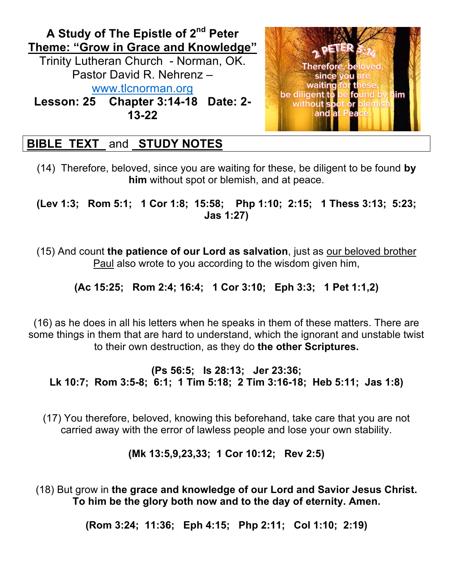

# **BIBLE TEXT** and **STUDY NOTES**

(14) Therefore, beloved, since you are waiting for these, be diligent to be found **by him** without spot or blemish, and at peace.

**(Lev 1:3; Rom 5:1; 1 Cor 1:8; 15:58; Php 1:10; 2:15; 1 Thess 3:13; 5:23; Jas 1:27)**

(15) And count **the patience of our Lord as salvation**, just as our beloved brother Paul also wrote to you according to the wisdom given him,

**(Ac 15:25; Rom 2:4; 16:4; 1 Cor 3:10; Eph 3:3; 1 Pet 1:1,2)**

(16) as he does in all his letters when he speaks in them of these matters. There are some things in them that are hard to understand, which the ignorant and unstable twist to their own destruction, as they do **the other Scriptures.**

**(Ps 56:5; Is 28:13; Jer 23:36; Lk 10:7; Rom 3:5-8; 6:1; 1 Tim 5:18; 2 Tim 3:16-18; Heb 5:11; Jas 1:8)**

(17) You therefore, beloved, knowing this beforehand, take care that you are not carried away with the error of lawless people and lose your own stability.

**(Mk 13:5,9,23,33; 1 Cor 10:12; Rev 2:5)**

(18) But grow in **the grace and knowledge of our Lord and Savior Jesus Christ. To him be the glory both now and to the day of eternity. Amen.**

**(Rom 3:24; 11:36; Eph 4:15; Php 2:11; Col 1:10; 2:19)**